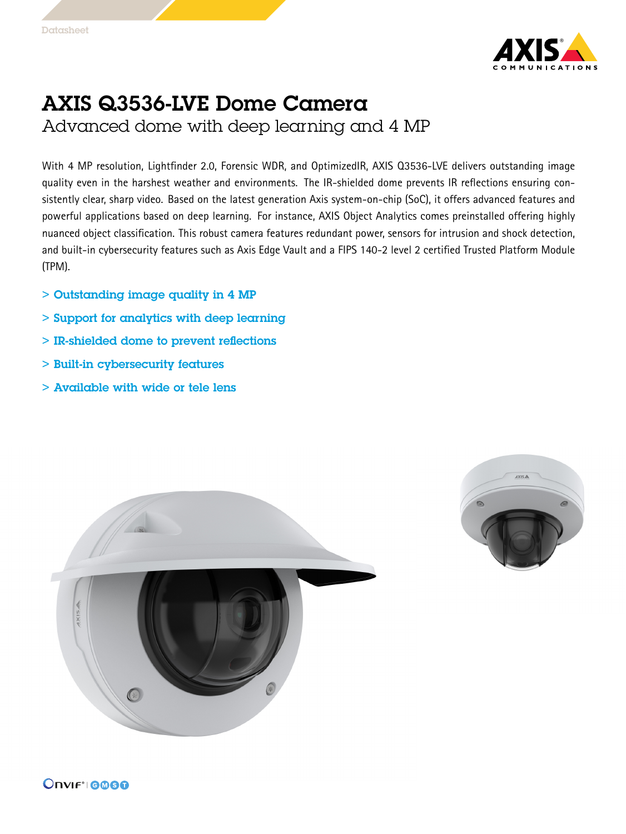

## AXIS Q3536-LVE Dome Camera

Advanced dome with deep learning and 4 MP

With <sup>4</sup> MP resolution, Lightfinder 2.0, Forensic WDR, and OptimizedIR, AXIS Q3536-LVE delivers outstanding image quality even in the harshest weather and environments. The IR-shielded dome prevents IR reflections ensuring consistently clear, sharp video. Based on the latest generation Axis system-on-chip (SoC), it offers advanced features and powerful applications based on deep learning. For instance, AXIS Object Analytics comes preinstalled offering highly nuanced object classification. This robust camera features redundant power, sensors for intrusion and shock detection, and built-in cybersecurity features such as Axis Edge Vault and <sup>a</sup> FIPS 140-2 level 2 certified Trusted Platform Module (TPM).

- > Outstanding image quality in 4 MP
- > Support for analytics with deep learning
- > IR-shielded dome to prevent reflections
- > Built-in cybersecurity features
- > Available with wide or tele lens



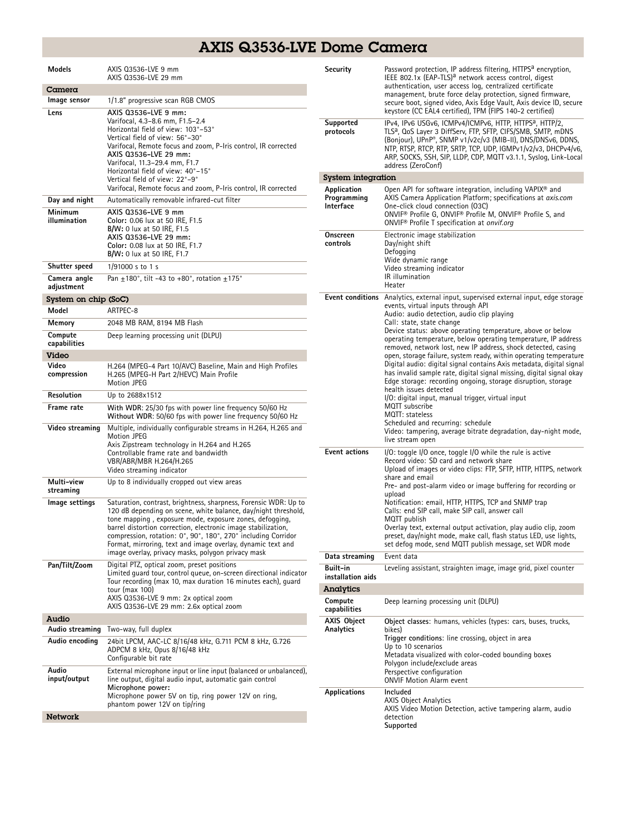## AXIS Q3536-LVE Dome Camera

| <b>Models</b>              | AXIS Q3536-LVE 9 mm<br>AXIS 03536-LVE 29 mm                                                                                                                                                                                                                                                                                                                                                    | Security                                | Password protection, IP address filtering, HTTPS <sup>a</sup> encryption,<br>IEEE 802.1x (EAP-TLS) <sup>a</sup> network access control, digest<br>authentication, user access log, centralized certificate<br>management, brute force delay protection, signed firmware,                                                                                                                                                               |  |
|----------------------------|------------------------------------------------------------------------------------------------------------------------------------------------------------------------------------------------------------------------------------------------------------------------------------------------------------------------------------------------------------------------------------------------|-----------------------------------------|----------------------------------------------------------------------------------------------------------------------------------------------------------------------------------------------------------------------------------------------------------------------------------------------------------------------------------------------------------------------------------------------------------------------------------------|--|
| $C$ amera                  |                                                                                                                                                                                                                                                                                                                                                                                                |                                         |                                                                                                                                                                                                                                                                                                                                                                                                                                        |  |
| Image sensor               | 1/1.8" progressive scan RGB CMOS                                                                                                                                                                                                                                                                                                                                                               |                                         | secure boot, signed video, Axis Edge Vault, Axis device ID, secure                                                                                                                                                                                                                                                                                                                                                                     |  |
| Lens                       | AXIS 03536-LVE 9 mm:<br>Varifocal, 4.3-8.6 mm, F1.5-2.4<br>Horizontal field of view: 103°-53°<br>Vertical field of view: 56°-30°<br>Varifocal, Remote focus and zoom, P-Iris control, IR corrected<br>AXIS 03536-LVE 29 mm:<br>Varifocal, 11.3-29.4 mm, F1.7<br>Horizontal field of view: 40°-15°<br>Vertical field of view: 22°-9°                                                            | Supported<br>protocols                  | keystore (CC EAL4 certified), TPM (FIPS 140-2 certified)<br>IPv4, IPv6 USGv6, ICMPv4/ICMPv6, HTTP, HTTPS <sup>a</sup> , HTTP/2,<br>TLS <sup>a</sup> , QoS Layer 3 DiffServ, FTP, SFTP, CIFS/SMB, SMTP, mDNS<br>(Bonjour), UPnP®, SNMP v1/v2c/v3 (MIB-II), DNS/DNSv6, DDNS,<br>NTP, RTSP, RTCP, RTP, SRTP, TCP, UDP, IGMPv1/v2/v3, DHCPv4/v6,<br>ARP, SOCKS, SSH, SIP, LLDP, CDP, MQTT v3.1.1, Syslog, Link-Local<br>address (ZeroConf) |  |
|                            |                                                                                                                                                                                                                                                                                                                                                                                                | System integration                      |                                                                                                                                                                                                                                                                                                                                                                                                                                        |  |
| Day and night              | Varifocal, Remote focus and zoom, P-Iris control, IR corrected<br>Automatically removable infrared-cut filter                                                                                                                                                                                                                                                                                  | Application<br>Programming<br>Interface | Open API for software integration, including VAPIX <sup>®</sup> and<br>AXIS Camera Application Platform; specifications at axis.com<br>One-click cloud connection (O3C)<br>ONVIF® Profile G, ONVIF® Profile M, ONVIF® Profile S, and<br>ONVIF <sup>®</sup> Profile T specification at onvif.org<br>Electronic image stabilization<br>Day/night shift<br>Defogging                                                                      |  |
| Minimum<br>illumination    | AXIS 03536-LVE 9 mm<br>Color: 0.06 lux at 50 IRE, F1.5<br><b>B/W:</b> 0 lux at 50 IRE, F1.5<br>AXIS 03536-LVE 29 mm:<br>Color: 0.08 lux at 50 IRE, F1.7                                                                                                                                                                                                                                        | Onscreen<br>controls                    |                                                                                                                                                                                                                                                                                                                                                                                                                                        |  |
| Shutter speed              | B/W: 0 lux at 50 IRE, F1.7<br>$1/91000$ s to 1 s                                                                                                                                                                                                                                                                                                                                               |                                         | Wide dynamic range                                                                                                                                                                                                                                                                                                                                                                                                                     |  |
|                            |                                                                                                                                                                                                                                                                                                                                                                                                |                                         | Video streaming indicator<br>IR illumination                                                                                                                                                                                                                                                                                                                                                                                           |  |
| Camera angle<br>adjustment | Pan $\pm$ 180°, tilt -43 to +80°, rotation $\pm$ 175°                                                                                                                                                                                                                                                                                                                                          |                                         | Heater                                                                                                                                                                                                                                                                                                                                                                                                                                 |  |
| System on chip (SoC)       |                                                                                                                                                                                                                                                                                                                                                                                                |                                         | <b>Event conditions</b> Analytics, external input, supervised external input, edge storage                                                                                                                                                                                                                                                                                                                                             |  |
| Model                      | ARTPEC-8                                                                                                                                                                                                                                                                                                                                                                                       |                                         | events, virtual inputs through API<br>Audio: audio detection, audio clip playing                                                                                                                                                                                                                                                                                                                                                       |  |
| Memory                     | 2048 MB RAM, 8194 MB Flash                                                                                                                                                                                                                                                                                                                                                                     |                                         | Call: state, state change<br>Device status: above operating temperature, above or below<br>operating temperature, below operating temperature, IP address<br>removed, network lost, new IP address, shock detected, casing                                                                                                                                                                                                             |  |
| Compute<br>capabilities    | Deep learning processing unit (DLPU)                                                                                                                                                                                                                                                                                                                                                           |                                         |                                                                                                                                                                                                                                                                                                                                                                                                                                        |  |
| <b>Video</b>               |                                                                                                                                                                                                                                                                                                                                                                                                |                                         | open, storage failure, system ready, within operating temperature                                                                                                                                                                                                                                                                                                                                                                      |  |
| Video<br>compression       | H.264 (MPEG-4 Part 10/AVC) Baseline, Main and High Profiles<br>H.265 (MPEG-H Part 2/HEVC) Main Profile<br>Motion JPEG                                                                                                                                                                                                                                                                          |                                         | Digital audio: digital signal contains Axis metadata, digital signal<br>has invalid sample rate, digital signal missing, digital signal okay<br>Edge storage: recording ongoing, storage disruption, storage<br>health issues detected                                                                                                                                                                                                 |  |
| Resolution                 | Up to 2688x1512                                                                                                                                                                                                                                                                                                                                                                                |                                         | I/O: digital input, manual trigger, virtual input                                                                                                                                                                                                                                                                                                                                                                                      |  |
| Frame rate                 | With WDR: 25/30 fps with power line frequency 50/60 Hz<br>Without WDR: 50/60 fps with power line frequency 50/60 Hz                                                                                                                                                                                                                                                                            |                                         | MQTT subscribe<br>MQTT: stateless<br>Scheduled and recurring: schedule                                                                                                                                                                                                                                                                                                                                                                 |  |
| Video streaming            | Multiple, individually configurable streams in H.264, H.265 and<br>Motion JPEG<br>Axis Zipstream technology in H.264 and H.265<br>Controllable frame rate and bandwidth<br>VBR/ABR/MBR H.264/H.265<br>Video streaming indicator                                                                                                                                                                | <b>Event actions</b>                    | Video: tampering, average bitrate degradation, day-night mode,<br>live stream open<br>$1/0$ : toggle $1/0$ once, toggle $1/0$ while the rule is active<br>Record video: SD card and network share<br>Upload of images or video clips: FTP, SFTP, HTTP, HTTPS, network<br>share and email<br>Pre- and post-alarm video or image buffering for recording or<br>upload                                                                    |  |
| Multi-view<br>streaming    | Up to 8 individually cropped out view areas                                                                                                                                                                                                                                                                                                                                                    |                                         |                                                                                                                                                                                                                                                                                                                                                                                                                                        |  |
| Image settings             | Saturation, contrast, brightness, sharpness, Forensic WDR: Up to<br>120 dB depending on scene, white balance, day/night threshold,<br>tone mapping, exposure mode, exposure zones, defogging,<br>barrel distortion correction, electronic image stabilization,<br>compression, rotation: 0°, 90°, 180°, 270° including Corridor<br>Format, mirroring, text and image overlay, dynamic text and |                                         | Notification: email, HTTP, HTTPS, TCP and SNMP trap<br>Calls: end SIP call, make SIP call, answer call<br>MQTT publish<br>Overlay text, external output activation, play audio clip, zoom<br>preset, day/night mode, make call, flash status LED, use lights,<br>set defog mode, send MQTT publish message, set WDR mode                                                                                                               |  |
|                            | image overlay, privacy masks, polygon privacy mask                                                                                                                                                                                                                                                                                                                                             | Data streaming                          | Event data                                                                                                                                                                                                                                                                                                                                                                                                                             |  |
| Pan/Tilt/Zoom              | Digital PTZ, optical zoom, preset positions<br>Limited quard tour, control queue, on-screen directional indicator<br>Tour recording (max 10, max duration 16 minutes each), quard                                                                                                                                                                                                              | Built-in<br>installation aids           | Leveling assistant, straighten image, image grid, pixel counter                                                                                                                                                                                                                                                                                                                                                                        |  |
|                            | tour (max $100$ )                                                                                                                                                                                                                                                                                                                                                                              | Analytics                               |                                                                                                                                                                                                                                                                                                                                                                                                                                        |  |
|                            | AXIS Q3536-LVE 9 mm: 2x optical zoom<br>AXIS Q3536-LVE 29 mm: 2.6x optical zoom                                                                                                                                                                                                                                                                                                                | Compute<br>capabilities                 | Deep learning processing unit (DLPU)                                                                                                                                                                                                                                                                                                                                                                                                   |  |
| Audio<br>Audio streaming   | Two-way, full duplex                                                                                                                                                                                                                                                                                                                                                                           | <b>AXIS Object</b>                      | Object classes: humans, vehicles (types: cars, buses, trucks,                                                                                                                                                                                                                                                                                                                                                                          |  |
| Audio encoding             | 24bit LPCM, AAC-LC 8/16/48 kHz, G.711 PCM 8 kHz, G.726<br>ADPCM 8 kHz, Opus 8/16/48 kHz<br>Configurable bit rate                                                                                                                                                                                                                                                                               |                                         | Analytics<br>bikes)<br>Trigger conditions: line crossing, object in area<br>Up to 10 scenarios<br>Metadata visualized with color-coded bounding boxes<br>Polygon include/exclude areas<br>Perspective configuration<br><b>ONVIF Motion Alarm event</b><br>Included                                                                                                                                                                     |  |
| Audio<br>input/output      | External microphone input or line input (balanced or unbalanced),<br>line output, digital audio input, automatic gain control<br>Microphone power:                                                                                                                                                                                                                                             | <b>Applications</b>                     |                                                                                                                                                                                                                                                                                                                                                                                                                                        |  |
| <b>Network</b>             | Microphone power 5V on tip, ring power 12V on ring,<br>phantom power 12V on tip/ring                                                                                                                                                                                                                                                                                                           |                                         | <b>AXIS Object Analytics</b><br>AXIS Video Motion Detection, active tampering alarm, audio                                                                                                                                                                                                                                                                                                                                             |  |
|                            |                                                                                                                                                                                                                                                                                                                                                                                                |                                         | detection<br>Supported                                                                                                                                                                                                                                                                                                                                                                                                                 |  |